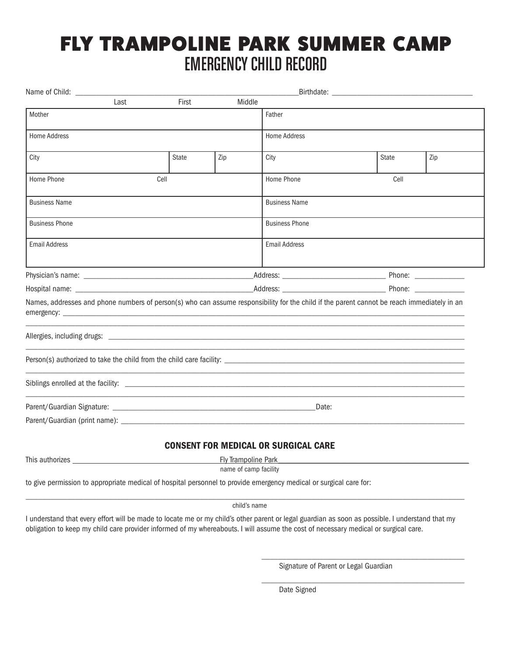## FLY TRAMPOLINE PARK SUMMER CAMP EMERGENCY CHILD RECORD

| Name of Child:                                                                                                                                                                                                                       |       |              |                            | Birthdate:                                                                                                                                                                                                                     |      |              |     |
|--------------------------------------------------------------------------------------------------------------------------------------------------------------------------------------------------------------------------------------|-------|--------------|----------------------------|--------------------------------------------------------------------------------------------------------------------------------------------------------------------------------------------------------------------------------|------|--------------|-----|
|                                                                                                                                                                                                                                      | Last  | First        | Middle                     |                                                                                                                                                                                                                                |      |              |     |
| Mother                                                                                                                                                                                                                               |       |              |                            | Father                                                                                                                                                                                                                         |      |              |     |
| <b>Home Address</b>                                                                                                                                                                                                                  |       |              |                            | <b>Home Address</b>                                                                                                                                                                                                            |      |              |     |
| City                                                                                                                                                                                                                                 |       | <b>State</b> | Zip                        | City                                                                                                                                                                                                                           |      | <b>State</b> | Zip |
| Cell<br>Home Phone                                                                                                                                                                                                                   |       |              |                            | Home Phone                                                                                                                                                                                                                     | Cell |              |     |
| <b>Business Name</b>                                                                                                                                                                                                                 |       |              |                            | <b>Business Name</b>                                                                                                                                                                                                           |      |              |     |
| <b>Business Phone</b>                                                                                                                                                                                                                |       |              |                            | <b>Business Phone</b>                                                                                                                                                                                                          |      |              |     |
| <b>Email Address</b>                                                                                                                                                                                                                 |       |              |                            | <b>Email Address</b>                                                                                                                                                                                                           |      |              |     |
|                                                                                                                                                                                                                                      |       |              |                            |                                                                                                                                                                                                                                |      |              |     |
|                                                                                                                                                                                                                                      |       |              |                            | Phone: the contract of the contract of the contract of the contract of the contract of the contract of the contract of the contract of the contract of the contract of the contract of the contract of the contract of the con |      |              |     |
| Names, addresses and phone numbers of person(s) who can assume responsibility for the child if the parent cannot be reach immediately in an                                                                                          |       |              |                            |                                                                                                                                                                                                                                |      |              |     |
|                                                                                                                                                                                                                                      |       |              |                            |                                                                                                                                                                                                                                |      |              |     |
|                                                                                                                                                                                                                                      |       |              |                            |                                                                                                                                                                                                                                |      |              |     |
|                                                                                                                                                                                                                                      |       |              |                            |                                                                                                                                                                                                                                |      |              |     |
|                                                                                                                                                                                                                                      | Date: |              |                            |                                                                                                                                                                                                                                |      |              |     |
|                                                                                                                                                                                                                                      |       |              |                            |                                                                                                                                                                                                                                |      |              |     |
|                                                                                                                                                                                                                                      |       |              |                            | <b>CONSENT FOR MEDICAL OR SURGICAL CARE</b>                                                                                                                                                                                    |      |              |     |
| This authorizes <b>All According to the Contract of the Contract of Contract Contract of Contract Oriental Contract of Contract Oriental Contract of Contract Oriental Contract Oriental Contract Oriental Contract Oriental Con</b> |       |              | <b>Fly Trampoline Park</b> |                                                                                                                                                                                                                                |      |              |     |
|                                                                                                                                                                                                                                      |       |              | name of camp facility      |                                                                                                                                                                                                                                |      |              |     |
| to give permission to appropriate medical of hospital personnel to provide emergency medical or surgical care for:                                                                                                                   |       |              |                            |                                                                                                                                                                                                                                |      |              |     |
|                                                                                                                                                                                                                                      |       |              | child's name               |                                                                                                                                                                                                                                |      |              |     |

I understand that every effort will be made to locate me or my child's other parent or legal guardian as soon as possible. I understand that my obligation to keep my child care provider informed of my whereabouts. I will assume the cost of necessary medical or surgical care.

Signature of Parent or Legal Guardian

\_\_\_\_\_\_\_\_\_\_\_\_\_\_\_\_\_\_\_\_\_\_\_\_\_\_\_\_\_\_\_\_\_\_\_\_\_\_\_\_\_\_\_\_\_\_\_\_\_

\_\_\_\_\_\_\_\_\_\_\_\_\_\_\_\_\_\_\_\_\_\_\_\_\_\_\_\_\_\_\_\_\_\_\_\_\_\_\_\_\_\_\_\_\_\_\_\_\_

Date Signed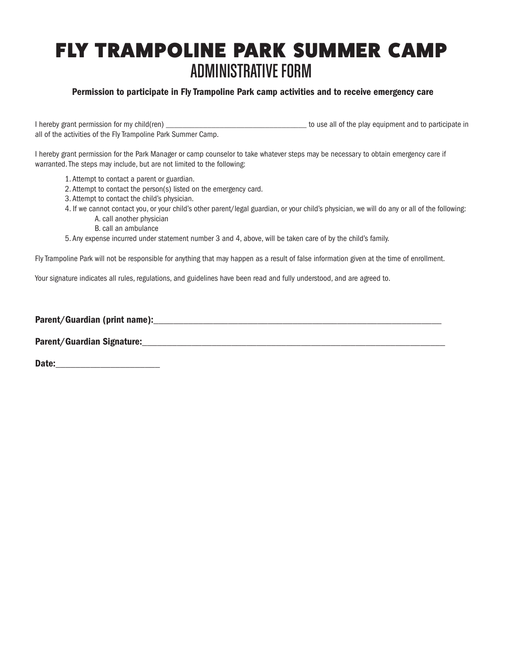# FLY TRAMPOLINE PARK SUMMER CAMP ADMINISTRATIVE FORM

## Permission to participate in Fly Trampoline Park camp activities and to receive emergency care

I hereby grant permission for my child(ren) and the play equipment and to participate in all of the activities of the Fly Trampoline Park Summer Camp.

I hereby grant permission for the Park Manager or camp counselor to take whatever steps may be necessary to obtain emergency care if warranted. The steps may include, but are not limited to the following:

- 1. Attempt to contact a parent or guardian.
- 2. Attempt to contact the person(s) listed on the emergency card.
- 3. Attempt to contact the child's physician.
- 4. If we cannot contact you, or your child's other parent/legal guardian, or your child's physician, we will do any or all of the following: A. call another physician
	- B. call an ambulance
- 5. Any expense incurred under statement number 3 and 4, above, will be taken care of by the child's family.

Fly Trampoline Park will not be responsible for anything that may happen as a result of false information given at the time of enrollment.

Your signature indicates all rules, regulations, and guidelines have been read and fully understood, and are agreed to.

Parent/Guardian (print name): example and all the contract of the contract of the contract of the contract of the contract of the contract of the contract of the contract of the contract of the contract of the contract of

Parent/Guardian Signature:

Date: